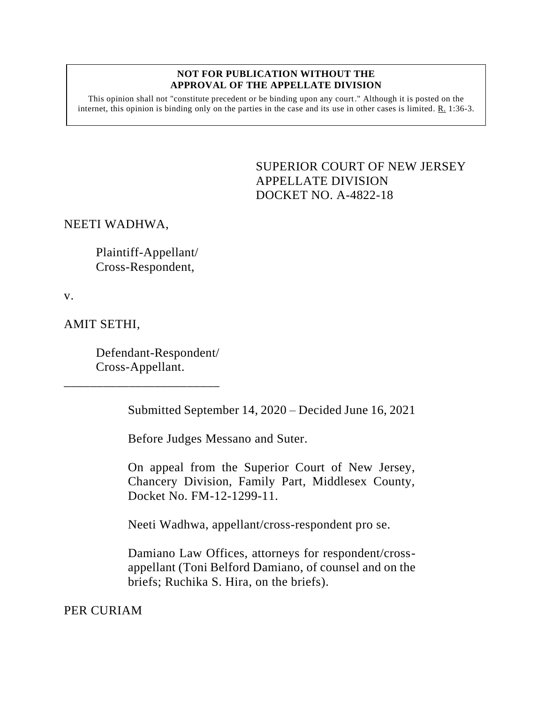#### **NOT FOR PUBLICATION WITHOUT THE APPROVAL OF THE APPELLATE DIVISION**

This opinion shall not "constitute precedent or be binding upon any court." Although it is posted on the internet, this opinion is binding only on the parties in the case and its use in other cases is limited.  $R_1$  1:36-3.

> <span id="page-0-0"></span>SUPERIOR COURT OF NEW JERSEY APPELLATE DIVISION DOCKET NO. A-4822-18

### NEETI WADHWA,

Plaintiff-Appellant/ Cross-Respondent,

v.

AMIT SETHI,

Defendant-Respondent/ Cross-Appellant.

\_\_\_\_\_\_\_\_\_\_\_\_\_\_\_\_\_\_\_\_\_\_\_\_

Submitted September 14, 2020 – Decided June 16, 2021

Before Judges Messano and Suter.

On appeal from the Superior Court of New Jersey, Chancery Division, Family Part, Middlesex County, Docket No. FM-12-1299-11.

Neeti Wadhwa, appellant/cross-respondent pro se.

Damiano Law Offices, attorneys for respondent/crossappellant (Toni Belford Damiano, of counsel and on the briefs; Ruchika S. Hira, on the briefs).

PER CURIAM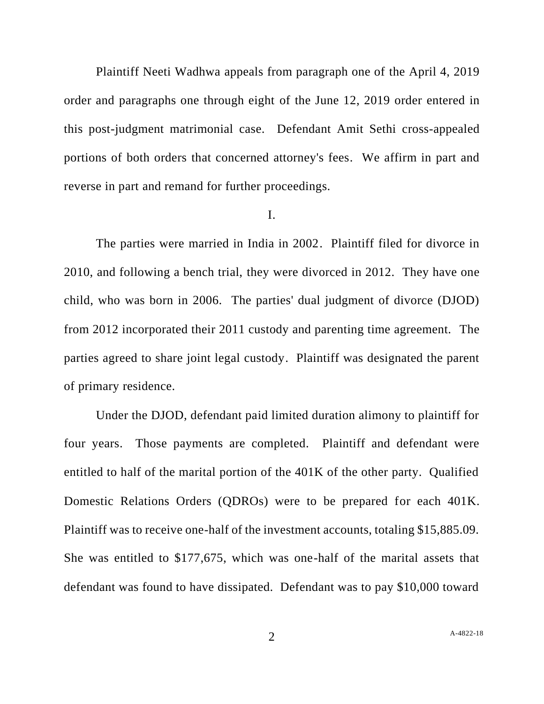Plaintiff Neeti Wadhwa appeals from paragraph one of the April 4, 2019 order and paragraphs one through eight of the June 12, 2019 order entered in this post-judgment matrimonial case. Defendant Amit Sethi cross-appealed portions of both orders that concerned attorney's fees. We affirm in part and reverse in part and remand for further proceedings.

### I.

The parties were married in India in 2002. Plaintiff filed for divorce in 2010, and following a bench trial, they were divorced in 2012. They have one child, who was born in 2006. The parties' dual judgment of divorce (DJOD) from 2012 incorporated their 2011 custody and parenting time agreement. The parties agreed to share joint legal custody. Plaintiff was designated the parent of primary residence.

Under the DJOD, defendant paid limited duration alimony to plaintiff for four years. Those payments are completed. Plaintiff and defendant were entitled to half of the marital portion of the 401K of the other party. Qualified Domestic Relations Orders (QDROs) were to be prepared for each 401K. Plaintiff was to receive one-half of the investment accounts, totaling \$15,885.09. She was entitled to \$177,675, which was one-half of the marital assets that defendant was found to have dissipated. Defendant was to pay \$10,000 toward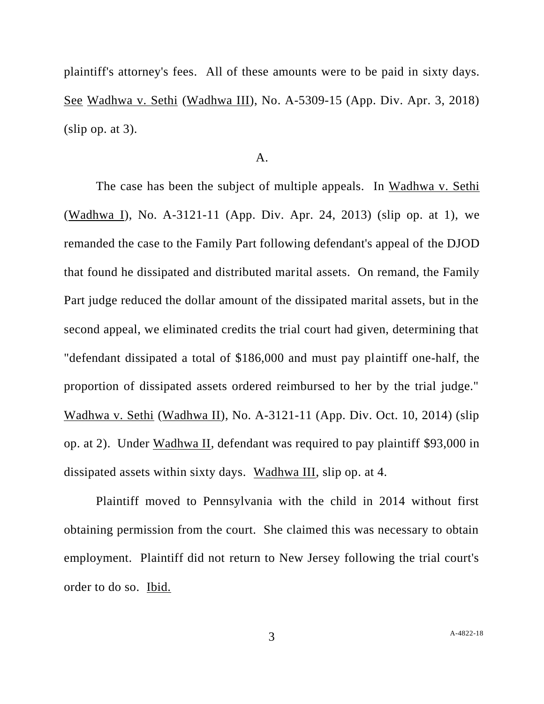plaintiff's attorney's fees. All of these amounts were to be paid in sixty days. See Wadhwa v. Sethi (Wadhwa III), No. A-5309-15 (App. Div. Apr. 3, 2018)  $(slip$  op. at 3).

### A.

The case has been the subject of multiple appeals. In Wadhwa v. Sethi (Wadhwa I), No. A-3121-11 (App. Div. Apr. 24, 2013) (slip op. at 1), we remanded the case to the Family Part following defendant's appeal of the DJOD that found he dissipated and distributed marital assets. On remand, the Family Part judge reduced the dollar amount of the dissipated marital assets, but in the second appeal, we eliminated credits the trial court had given, determining that "defendant dissipated a total of \$186,000 and must pay plaintiff one-half, the proportion of dissipated assets ordered reimbursed to her by the trial judge." Wadhwa v. Sethi (Wadhwa II), No. A-3121-11 (App. Div. Oct. 10, 2014) (slip op. at 2). Under Wadhwa II, defendant was required to pay plaintiff \$93,000 in dissipated assets within sixty days. Wadhwa III, slip op. at 4.

Plaintiff moved to Pennsylvania with the child in 2014 without first obtaining permission from the court. She claimed this was necessary to obtain employment. Plaintiff did not return to New Jersey following the trial court's order to do so. Ibid.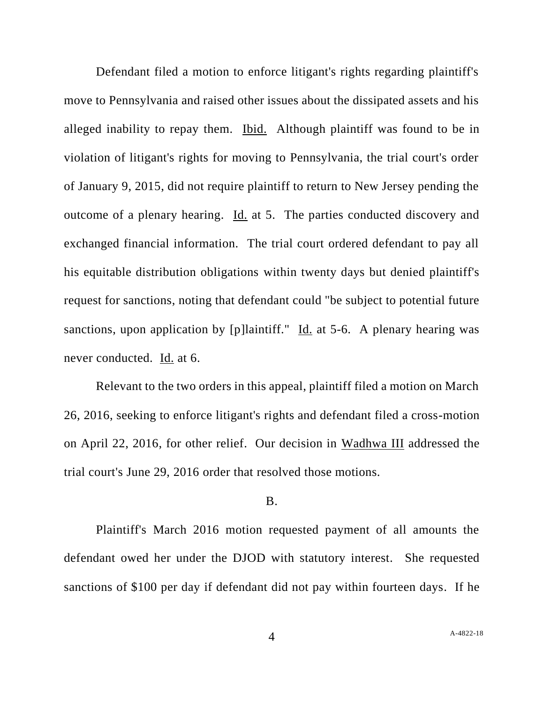Defendant filed a motion to enforce litigant's rights regarding plaintiff's move to Pennsylvania and raised other issues about the dissipated assets and his alleged inability to repay them. Ibid. Although plaintiff was found to be in violation of litigant's rights for moving to Pennsylvania, the trial court's order of January 9, 2015, did not require plaintiff to return to New Jersey pending the outcome of a plenary hearing. Id. at 5. The parties conducted discovery and exchanged financial information. The trial court ordered defendant to pay all his equitable distribution obligations within twenty days but denied plaintiff's request for sanctions, noting that defendant could "be subject to potential future sanctions, upon application by [p]laintiff."  $\underline{Id}$  at 5-6. A plenary hearing was never conducted. Id. at 6.

Relevant to the two orders in this appeal, plaintiff filed a motion on March 26, 2016, seeking to enforce litigant's rights and defendant filed a cross-motion on April 22, 2016, for other relief. Our decision in Wadhwa III addressed the trial court's June 29, 2016 order that resolved those motions.

### B.

Plaintiff's March 2016 motion requested payment of all amounts the defendant owed her under the DJOD with statutory interest. She requested sanctions of \$100 per day if defendant did not pay within fourteen days. If he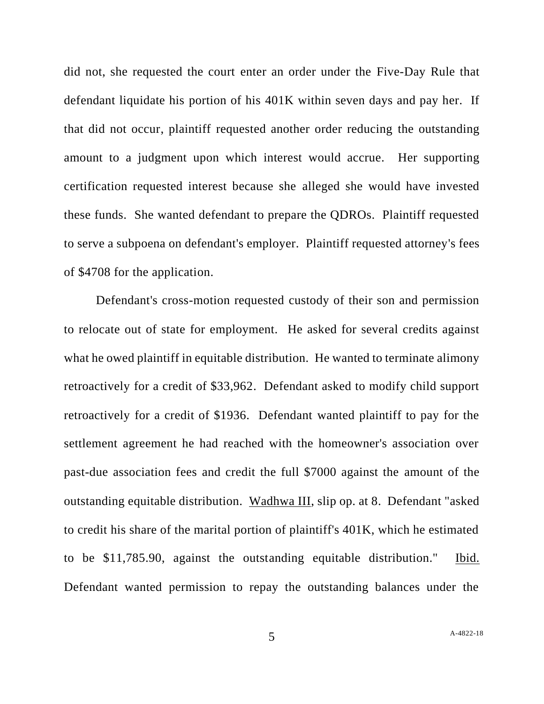did not, she requested the court enter an order under the Five-Day Rule that defendant liquidate his portion of his 401K within seven days and pay her. If that did not occur, plaintiff requested another order reducing the outstanding amount to a judgment upon which interest would accrue. Her supporting certification requested interest because she alleged she would have invested these funds. She wanted defendant to prepare the QDROs. Plaintiff requested to serve a subpoena on defendant's employer. Plaintiff requested attorney's fees of \$4708 for the application.

Defendant's cross-motion requested custody of their son and permission to relocate out of state for employment. He asked for several credits against what he owed plaintiff in equitable distribution. He wanted to terminate alimony retroactively for a credit of \$33,962. Defendant asked to modify child support retroactively for a credit of \$1936. Defendant wanted plaintiff to pay for the settlement agreement he had reached with the homeowner's association over past-due association fees and credit the full \$7000 against the amount of the outstanding equitable distribution. Wadhwa III, slip op. at 8. Defendant "asked to credit his share of the marital portion of plaintiff's 401K, which he estimated to be \$11,785.90, against the outstanding equitable distribution." Ibid. Defendant wanted permission to repay the outstanding balances under the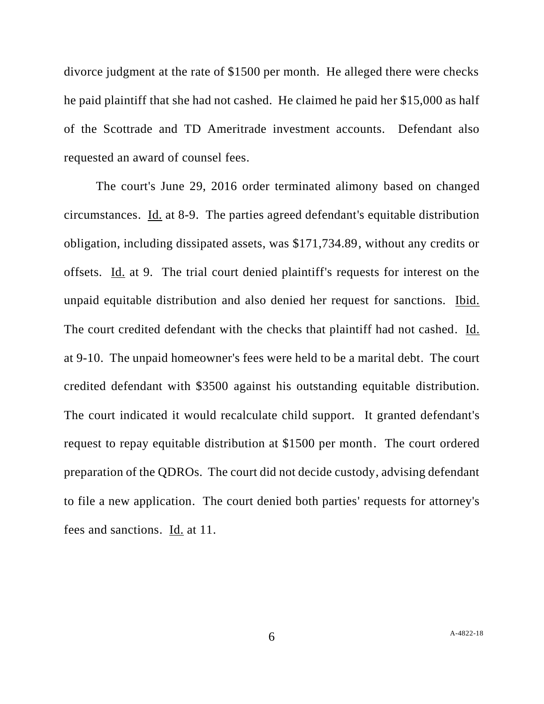divorce judgment at the rate of \$1500 per month. He alleged there were checks he paid plaintiff that she had not cashed. He claimed he paid her \$15,000 as half of the Scottrade and TD Ameritrade investment accounts. Defendant also requested an award of counsel fees.

The court's June 29, 2016 order terminated alimony based on changed circumstances. Id. at 8-9. The parties agreed defendant's equitable distribution obligation, including dissipated assets, was \$171,734.89, without any credits or offsets. Id. at 9. The trial court denied plaintiff's requests for interest on the unpaid equitable distribution and also denied her request for sanctions. Ibid. The court credited defendant with the checks that plaintiff had not cashed. Id. at 9-10. The unpaid homeowner's fees were held to be a marital debt. The court credited defendant with \$3500 against his outstanding equitable distribution. The court indicated it would recalculate child support. It granted defendant's request to repay equitable distribution at \$1500 per month. The court ordered preparation of the QDROs. The court did not decide custody, advising defendant to file a new application. The court denied both parties' requests for attorney's fees and sanctions. Id. at 11.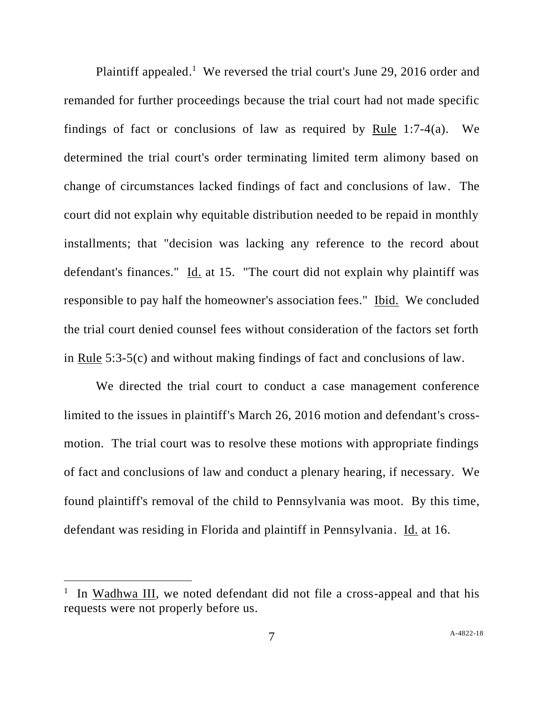Plaintiff appealed.<sup>1</sup> We reversed the trial court's June 29, 2016 order and remanded for further proceedings because the trial court had not made specific findings of fact or conclusions of law as required by Rule 1:7-4(a). We determined the trial court's order terminating limited term alimony based on change of circumstances lacked findings of fact and conclusions of law. The court did not explain why equitable distribution needed to be repaid in monthly installments; that "decision was lacking any reference to the record about defendant's finances." Id. at 15. "The court did not explain why plaintiff was responsible to pay half the homeowner's association fees." Ibid. We concluded the trial court denied counsel fees without consideration of the factors set forth in Rule 5:3-5(c) and without making findings of fact and conclusions of law.

We directed the trial court to conduct a case management conference limited to the issues in plaintiff's March 26, 2016 motion and defendant's crossmotion. The trial court was to resolve these motions with appropriate findings of fact and conclusions of law and conduct a plenary hearing, if necessary. We found plaintiff's removal of the child to Pennsylvania was moot. By this time, defendant was residing in Florida and plaintiff in Pennsylvania. Id. at 16.

<sup>&</sup>lt;sup>1</sup> In Wadhwa III, we noted defendant did not file a cross-appeal and that his requests were not properly before us.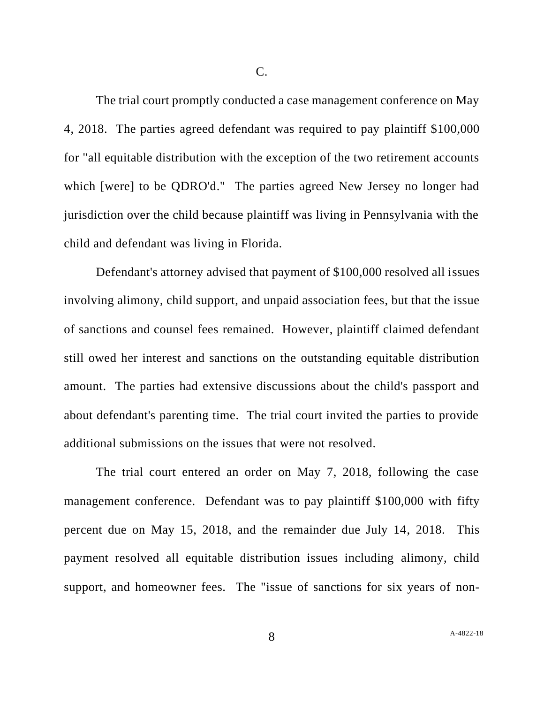The trial court promptly conducted a case management conference on May 4, 2018. The parties agreed defendant was required to pay plaintiff \$100,000 for "all equitable distribution with the exception of the two retirement accounts which [were] to be QDRO'd." The parties agreed New Jersey no longer had jurisdiction over the child because plaintiff was living in Pennsylvania with the child and defendant was living in Florida.

Defendant's attorney advised that payment of \$100,000 resolved all issues involving alimony, child support, and unpaid association fees, but that the issue of sanctions and counsel fees remained. However, plaintiff claimed defendant still owed her interest and sanctions on the outstanding equitable distribution amount. The parties had extensive discussions about the child's passport and about defendant's parenting time. The trial court invited the parties to provide additional submissions on the issues that were not resolved.

The trial court entered an order on May 7, 2018, following the case management conference. Defendant was to pay plaintiff \$100,000 with fifty percent due on May 15, 2018, and the remainder due July 14, 2018. This payment resolved all equitable distribution issues including alimony, child support, and homeowner fees. The "issue of sanctions for six years of non-

8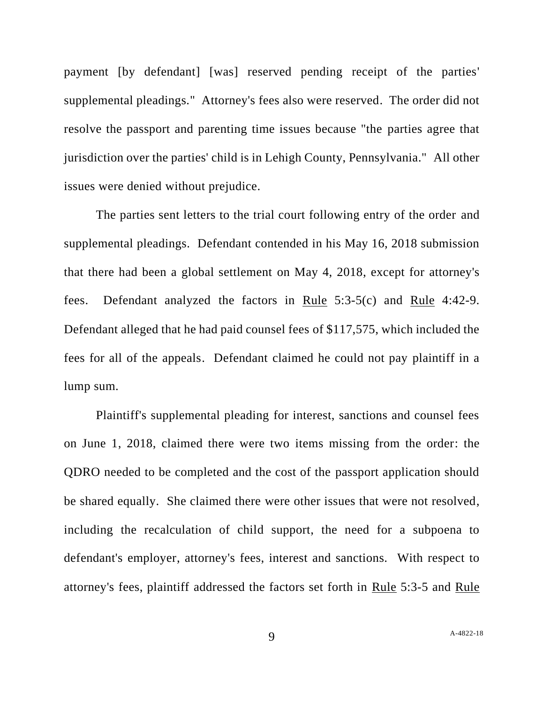payment [by defendant] [was] reserved pending receipt of the parties' supplemental pleadings." Attorney's fees also were reserved. The order did not resolve the passport and parenting time issues because "the parties agree that jurisdiction over the parties' child is in Lehigh County, Pennsylvania." All other issues were denied without prejudice.

The parties sent letters to the trial court following entry of the order and supplemental pleadings. Defendant contended in his May 16, 2018 submission that there had been a global settlement on May 4, 2018, except for attorney's fees. Defendant analyzed the factors in Rule 5:3-5(c) and Rule 4:42-9. Defendant alleged that he had paid counsel fees of \$117,575, which included the fees for all of the appeals. Defendant claimed he could not pay plaintiff in a lump sum.

Plaintiff's supplemental pleading for interest, sanctions and counsel fees on June 1, 2018, claimed there were two items missing from the order: the QDRO needed to be completed and the cost of the passport application should be shared equally. She claimed there were other issues that were not resolved, including the recalculation of child support, the need for a subpoena to defendant's employer, attorney's fees, interest and sanctions. With respect to attorney's fees, plaintiff addressed the factors set forth in Rule 5:3-5 and Rule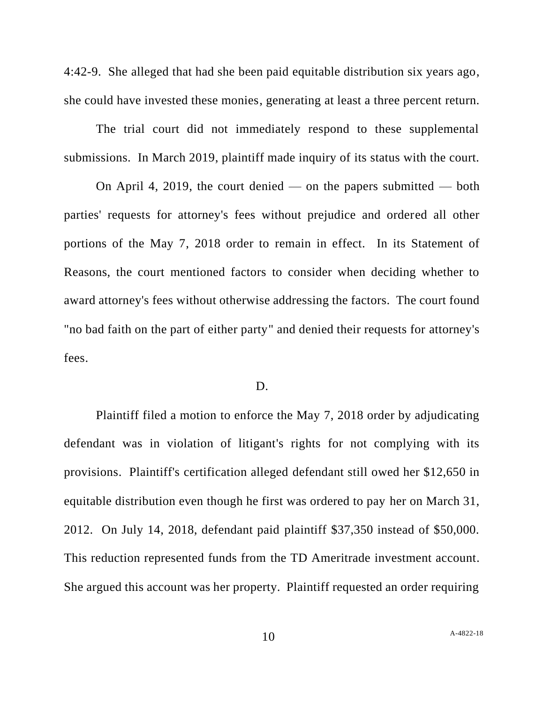4:42-9. She alleged that had she been paid equitable distribution six years ago, she could have invested these monies, generating at least a three percent return.

The trial court did not immediately respond to these supplemental submissions. In March 2019, plaintiff made inquiry of its status with the court.

On April 4, 2019, the court denied — on the papers submitted — both parties' requests for attorney's fees without prejudice and ordered all other portions of the May 7, 2018 order to remain in effect. In its Statement of Reasons, the court mentioned factors to consider when deciding whether to award attorney's fees without otherwise addressing the factors. The court found "no bad faith on the part of either party" and denied their requests for attorney's fees.

#### D.

Plaintiff filed a motion to enforce the May 7, 2018 order by adjudicating defendant was in violation of litigant's rights for not complying with its provisions. Plaintiff's certification alleged defendant still owed her \$12,650 in equitable distribution even though he first was ordered to pay her on March 31, 2012. On July 14, 2018, defendant paid plaintiff \$37,350 instead of \$50,000. This reduction represented funds from the TD Ameritrade investment account. She argued this account was her property. Plaintiff requested an order requiring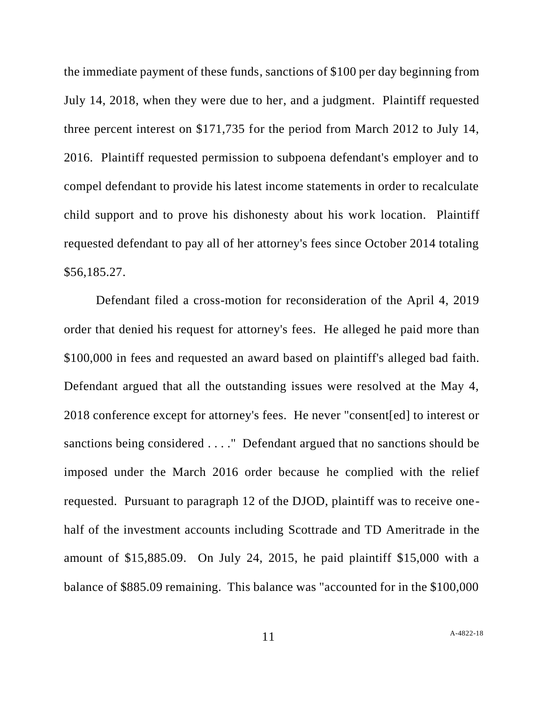the immediate payment of these funds, sanctions of \$100 per day beginning from July 14, 2018, when they were due to her, and a judgment. Plaintiff requested three percent interest on \$171,735 for the period from March 2012 to July 14, 2016. Plaintiff requested permission to subpoena defendant's employer and to compel defendant to provide his latest income statements in order to recalculate child support and to prove his dishonesty about his work location. Plaintiff requested defendant to pay all of her attorney's fees since October 2014 totaling \$56,185.27.

Defendant filed a cross-motion for reconsideration of the April 4, 2019 order that denied his request for attorney's fees. He alleged he paid more than \$100,000 in fees and requested an award based on plaintiff's alleged bad faith. Defendant argued that all the outstanding issues were resolved at the May 4, 2018 conference except for attorney's fees. He never "consent[ed] to interest or sanctions being considered . . . ." Defendant argued that no sanctions should be imposed under the March 2016 order because he complied with the relief requested. Pursuant to paragraph 12 of the DJOD, plaintiff was to receive onehalf of the investment accounts including Scottrade and TD Ameritrade in the amount of \$15,885.09. On July 24, 2015, he paid plaintiff \$15,000 with a balance of \$885.09 remaining. This balance was "accounted for in the \$100,000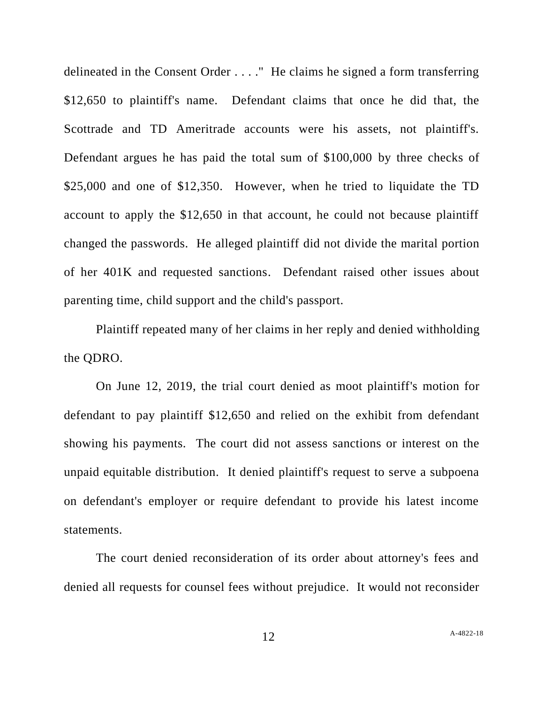delineated in the Consent Order . . . ." He claims he signed a form transferring \$12,650 to plaintiff's name. Defendant claims that once he did that, the Scottrade and TD Ameritrade accounts were his assets, not plaintiff's. Defendant argues he has paid the total sum of \$100,000 by three checks of \$25,000 and one of \$12,350. However, when he tried to liquidate the TD account to apply the \$12,650 in that account, he could not because plaintiff changed the passwords. He alleged plaintiff did not divide the marital portion of her 401K and requested sanctions. Defendant raised other issues about parenting time, child support and the child's passport.

Plaintiff repeated many of her claims in her reply and denied withholding the QDRO.

On June 12, 2019, the trial court denied as moot plaintiff's motion for defendant to pay plaintiff \$12,650 and relied on the exhibit from defendant showing his payments. The court did not assess sanctions or interest on the unpaid equitable distribution. It denied plaintiff's request to serve a subpoena on defendant's employer or require defendant to provide his latest income statements.

The court denied reconsideration of its order about attorney's fees and denied all requests for counsel fees without prejudice. It would not reconsider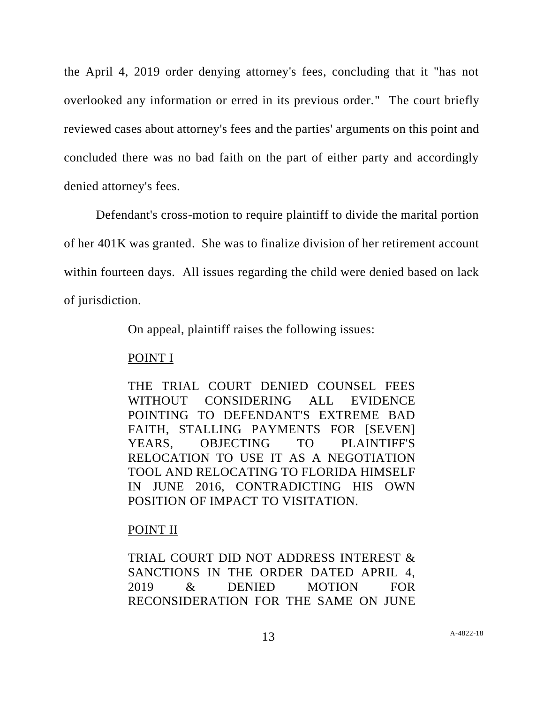the April 4, 2019 order denying attorney's fees, concluding that it "has not overlooked any information or erred in its previous order." The court briefly reviewed cases about attorney's fees and the parties' arguments on this point and concluded there was no bad faith on the part of either party and accordingly denied attorney's fees.

Defendant's cross-motion to require plaintiff to divide the marital portion of her 401K was granted. She was to finalize division of her retirement account within fourteen days. All issues regarding the child were denied based on lack of jurisdiction.

On appeal, plaintiff raises the following issues:

## POINT I

THE TRIAL COURT DENIED COUNSEL FEES WITHOUT CONSIDERING ALL EVIDENCE POINTING TO DEFENDANT'S EXTREME BAD FAITH, STALLING PAYMENTS FOR [SEVEN] YEARS, OBJECTING TO PLAINTIFF'S RELOCATION TO USE IT AS A NEGOTIATION TOOL AND RELOCATING TO FLORIDA HIMSELF IN JUNE 2016, CONTRADICTING HIS OWN POSITION OF IMPACT TO VISITATION.

# POINT II

TRIAL COURT DID NOT ADDRESS INTEREST & SANCTIONS IN THE ORDER DATED APRIL 4, 2019 & DENIED MOTION FOR RECONSIDERATION FOR THE SAME ON JUNE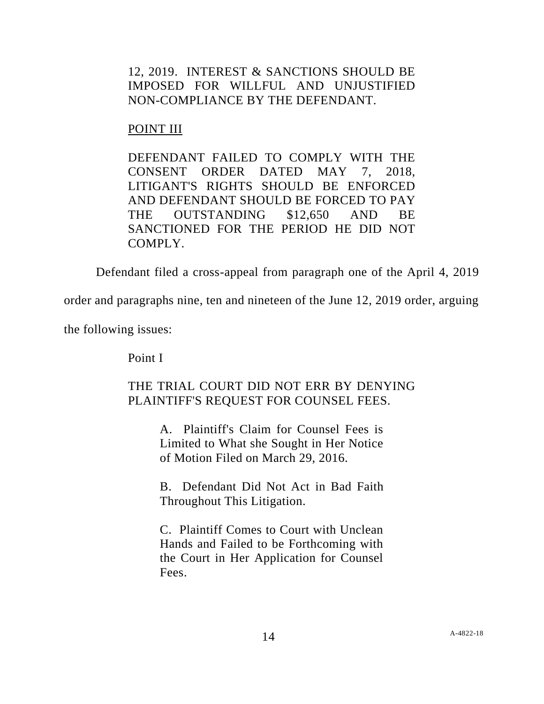12, 2019. INTEREST & SANCTIONS SHOULD BE IMPOSED FOR WILLFUL AND UNJUSTIFIED NON-COMPLIANCE BY THE DEFENDANT.

# POINT III

DEFENDANT FAILED TO COMPLY WITH THE CONSENT ORDER DATED MAY 7, 2018, LITIGANT'S RIGHTS SHOULD BE ENFORCED AND DEFENDANT SHOULD BE FORCED TO PAY THE OUTSTANDING \$12,650 AND BE SANCTIONED FOR THE PERIOD HE DID NOT COMPLY.

Defendant filed a cross-appeal from paragraph one of the April 4, 2019

order and paragraphs nine, ten and nineteen of the June 12, 2019 order, arguing

the following issues:

Point I

# THE TRIAL COURT DID NOT ERR BY DENYING PLAINTIFF'S REQUEST FOR COUNSEL FEES.

A. Plaintiff's Claim for Counsel Fees is Limited to What she Sought in Her Notice of Motion Filed on March 29, 2016.

B. Defendant Did Not Act in Bad Faith Throughout This Litigation.

C. Plaintiff Comes to Court with Unclean Hands and Failed to be Forthcoming with the Court in Her Application for Counsel Fees.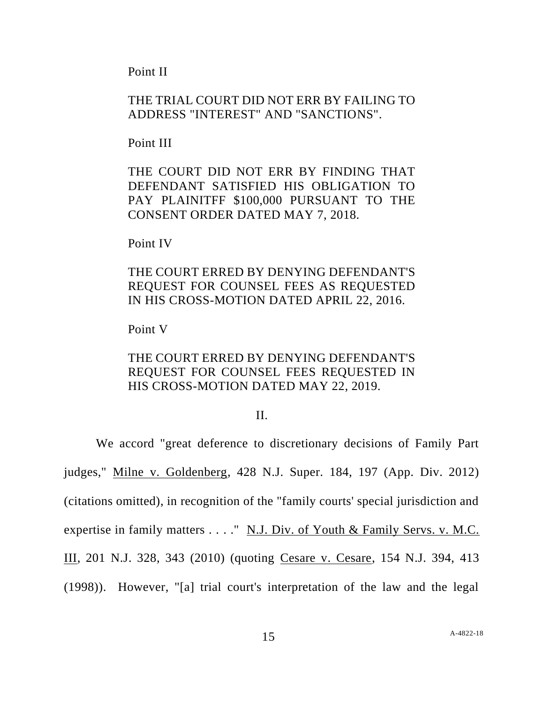Point II

## THE TRIAL COURT DID NOT ERR BY FAILING TO ADDRESS "INTEREST" AND "SANCTIONS".

Point III

THE COURT DID NOT ERR BY FINDING THAT DEFENDANT SATISFIED HIS OBLIGATION TO PAY PLAINITFF \$100,000 PURSUANT TO THE CONSENT ORDER DATED MAY 7, 2018.

Point IV

# THE COURT ERRED BY DENYING DEFENDANT'S REQUEST FOR COUNSEL FEES AS REQUESTED IN HIS CROSS-MOTION DATED APRIL 22, 2016.

Point V

# THE COURT ERRED BY DENYING DEFENDANT'S REQUEST FOR COUNSEL FEES REQUESTED IN HIS CROSS-MOTION DATED MAY 22, 2019.

### II.

We accord "great deference to discretionary decisions of Family Part judges," Milne v. Goldenberg, 428 N.J. Super. 184, 197 (App. Div. 2012) (citations omitted), in recognition of the "family courts' special jurisdiction and expertise in family matters . . . ." N.J. Div. of Youth & Family Servs. v. M.C. III, 201 N.J. 328, 343 (2010) (quoting Cesare v. Cesare, 154 N.J. 394, 413 (1998)). However, "[a] trial court's interpretation of the law and the legal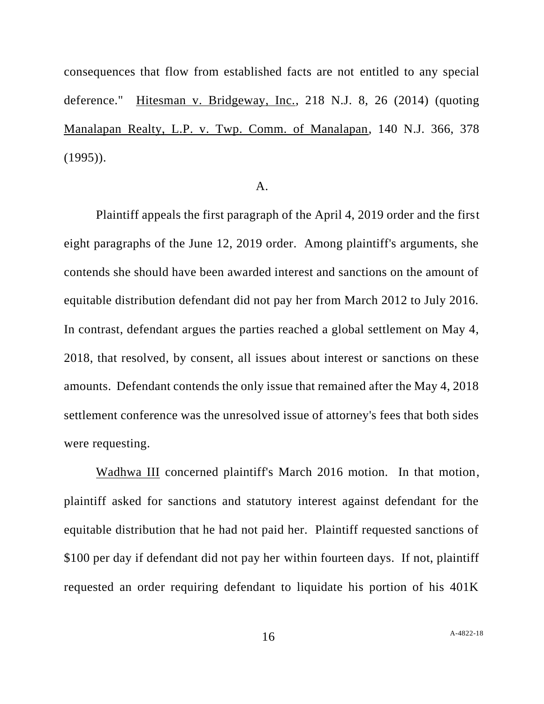consequences that flow from established facts are not entitled to any special deference." Hitesman v. Bridgeway, Inc., 218 N.J. 8, 26 (2014) (quoting Manalapan Realty, L.P. v. Twp. Comm. of Manalapan, 140 N.J. 366, 378  $(1995)$ .

#### A.

Plaintiff appeals the first paragraph of the April 4, 2019 order and the first eight paragraphs of the June 12, 2019 order. Among plaintiff's arguments, she contends she should have been awarded interest and sanctions on the amount of equitable distribution defendant did not pay her from March 2012 to July 2016. In contrast, defendant argues the parties reached a global settlement on May 4, 2018, that resolved, by consent, all issues about interest or sanctions on these amounts. Defendant contends the only issue that remained after the May 4, 2018 settlement conference was the unresolved issue of attorney's fees that both sides were requesting.

Wadhwa III concerned plaintiff's March 2016 motion. In that motion, plaintiff asked for sanctions and statutory interest against defendant for the equitable distribution that he had not paid her. Plaintiff requested sanctions of \$100 per day if defendant did not pay her within fourteen days. If not, plaintiff requested an order requiring defendant to liquidate his portion of his 401K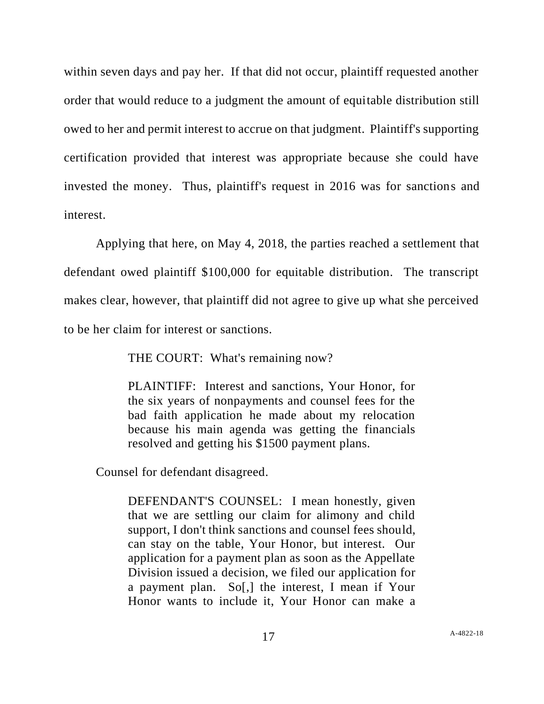within seven days and pay her. If that did not occur, plaintiff requested another order that would reduce to a judgment the amount of equitable distribution still owed to her and permit interest to accrue on that judgment. Plaintiff's supporting certification provided that interest was appropriate because she could have invested the money. Thus, plaintiff's request in 2016 was for sanctions and interest.

Applying that here, on May 4, 2018, the parties reached a settlement that defendant owed plaintiff \$100,000 for equitable distribution. The transcript makes clear, however, that plaintiff did not agree to give up what she perceived to be her claim for interest or sanctions.

THE COURT: What's remaining now?

PLAINTIFF: Interest and sanctions, Your Honor, for the six years of nonpayments and counsel fees for the bad faith application he made about my relocation because his main agenda was getting the financials resolved and getting his \$1500 payment plans.

Counsel for defendant disagreed.

DEFENDANT'S COUNSEL: I mean honestly, given that we are settling our claim for alimony and child support, I don't think sanctions and counsel fees should, can stay on the table, Your Honor, but interest. Our application for a payment plan as soon as the Appellate Division issued a decision, we filed our application for a payment plan. So[,] the interest, I mean if Your Honor wants to include it, Your Honor can make a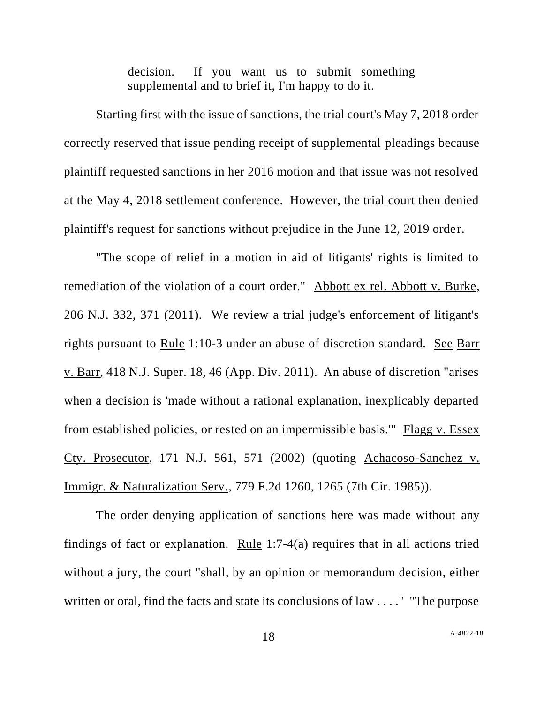decision. If you want us to submit something supplemental and to brief it, I'm happy to do it.

Starting first with the issue of sanctions, the trial court's May 7, 2018 order correctly reserved that issue pending receipt of supplemental pleadings because plaintiff requested sanctions in her 2016 motion and that issue was not resolved at the May 4, 2018 settlement conference. However, the trial court then denied plaintiff's request for sanctions without prejudice in the June 12, 2019 order.

"The scope of relief in a motion in aid of litigants' rights is limited to remediation of the violation of a court order." Abbott ex rel. Abbott v. Burke, 206 N.J. 332, 371 (2011). We review a trial judge's enforcement of litigant's rights pursuant to Rule 1:10-3 under an abuse of discretion standard. See Barr v. Barr, 418 N.J. Super. 18, 46 (App. Div. 2011). An abuse of discretion "arises when a decision is 'made without a rational explanation, inexplicably departed from established policies, or rested on an impermissible basis.'" Flagg v. Essex Cty. Prosecutor, 171 N.J. 561, 571 (2002) (quoting Achacoso-Sanchez v. Immigr. & Naturalization Serv., 779 F.2d 1260, 1265 (7th Cir. 1985)).

The order denying application of sanctions here was made without any findings of fact or explanation. Rule 1:7-4(a) requires that in all actions tried without a jury, the court "shall, by an opinion or memorandum decision, either written or oral, find the facts and state its conclusions of law . . . ." "The purpose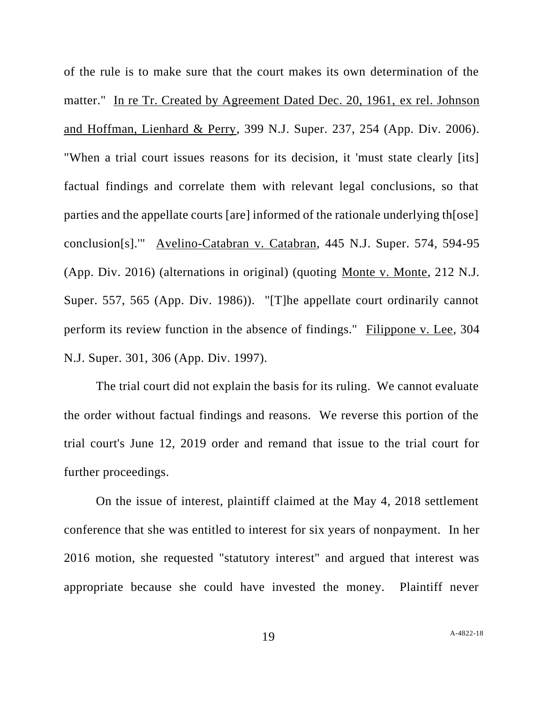of the rule is to make sure that the court makes its own determination of the matter." In re Tr. Created by Agreement Dated Dec. 20, 1961, ex rel. Johnson and Hoffman, Lienhard & Perry, 399 N.J. Super. 237, 254 (App. Div. 2006). "When a trial court issues reasons for its decision, it 'must state clearly [its] factual findings and correlate them with relevant legal conclusions, so that parties and the appellate courts [are] informed of the rationale underlying th[ose] conclusion[s].'" Avelino-Catabran v. Catabran, 445 N.J. Super. 574, 594-95 (App. Div. 2016) (alternations in original) (quoting Monte v. Monte, 212 N.J. Super. 557, 565 (App. Div. 1986)). "[T]he appellate court ordinarily cannot perform its review function in the absence of findings." Filippone v. Lee, 304 N.J. Super. 301, 306 (App. Div. 1997).

The trial court did not explain the basis for its ruling. We cannot evaluate the order without factual findings and reasons. We reverse this portion of the trial court's June 12, 2019 order and remand that issue to the trial court for further proceedings.

On the issue of interest, plaintiff claimed at the May 4, 2018 settlement conference that she was entitled to interest for six years of nonpayment. In her 2016 motion, she requested "statutory interest" and argued that interest was appropriate because she could have invested the money. Plaintiff never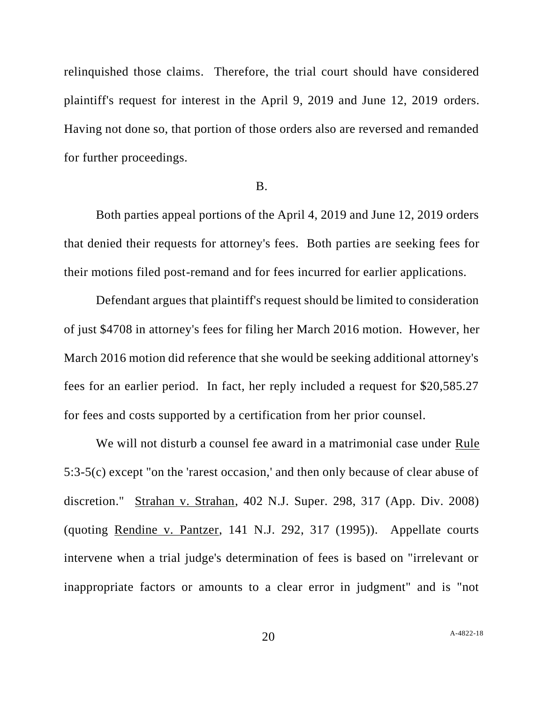relinquished those claims. Therefore, the trial court should have considered plaintiff's request for interest in the April 9, 2019 and June 12, 2019 orders. Having not done so, that portion of those orders also are reversed and remanded for further proceedings.

### B.

Both parties appeal portions of the April 4, 2019 and June 12, 2019 orders that denied their requests for attorney's fees. Both parties are seeking fees for their motions filed post-remand and for fees incurred for earlier applications.

Defendant argues that plaintiff's request should be limited to consideration of just \$4708 in attorney's fees for filing her March 2016 motion. However, her March 2016 motion did reference that she would be seeking additional attorney's fees for an earlier period. In fact, her reply included a request for \$20,585.27 for fees and costs supported by a certification from her prior counsel.

We will not disturb a counsel fee award in a matrimonial case under Rule 5:3-5(c) except "on the 'rarest occasion,' and then only because of clear abuse of discretion." Strahan v. Strahan, 402 N.J. Super. 298, 317 (App. Div. 2008) (quoting Rendine v. Pantzer, 141 N.J. 292, 317 (1995)). Appellate courts intervene when a trial judge's determination of fees is based on "irrelevant or inappropriate factors or amounts to a clear error in judgment" and is "not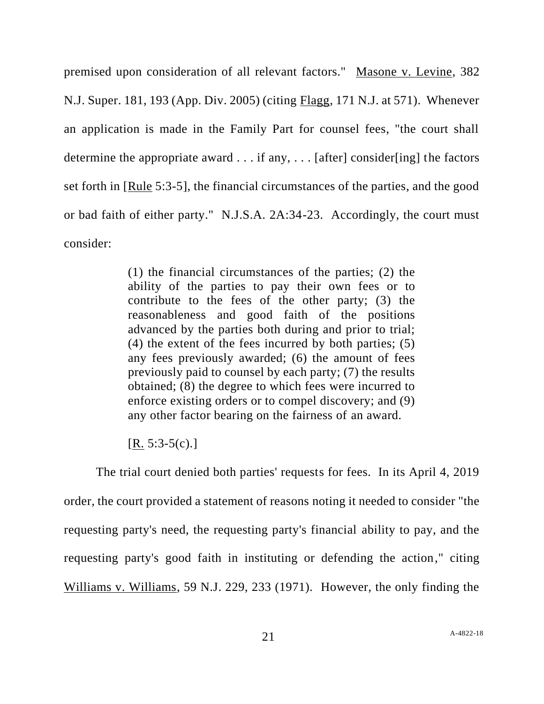premised upon consideration of all relevant factors." Masone v. Levine, 382 N.J. Super. 181, 193 (App. Div. 2005) (citing Flagg, 171 N.J. at 571). Whenever an application is made in the Family Part for counsel fees, "the court shall determine the appropriate award  $\dots$  if any,  $\dots$  [after] consider[ing] the factors set forth in [Rule 5:3-5], the financial circumstances of the parties, and the good or bad faith of either party." N.J.S.A. 2A:34-23. Accordingly, the court must consider:

> (1) the financial circumstances of the parties; (2) the ability of the parties to pay their own fees or to contribute to the fees of the other party; (3) the reasonableness and good faith of the positions advanced by the parties both during and prior to trial; (4) the extent of the fees incurred by both parties; (5) any fees previously awarded; (6) the amount of fees previously paid to counsel by each party; (7) the results obtained; (8) the degree to which fees were incurred to enforce existing orders or to compel discovery; and (9) any other factor bearing on the fairness of an award.

 $[R. 5:3-5(c).]$ 

The trial court denied both parties' requests for fees. In its April 4, 2019 order, the court provided a statement of reasons noting it needed to consider "the requesting party's need, the requesting party's financial ability to pay, and the requesting party's good faith in instituting or defending the action," citing Williams v. Williams, 59 N.J. 229, 233 (1971). However, the only finding the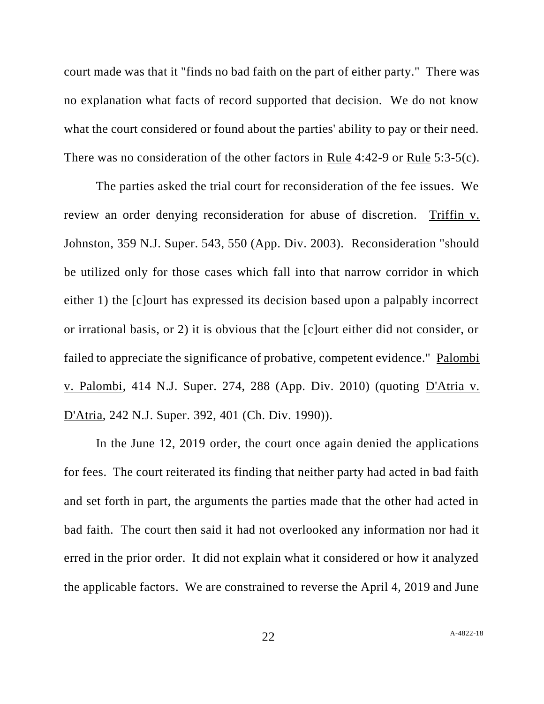court made was that it "finds no bad faith on the part of either party." There was no explanation what facts of record supported that decision. We do not know what the court considered or found about the parties' ability to pay or their need. There was no consideration of the other factors in Rule 4:42-9 or Rule 5:3-5(c).

The parties asked the trial court for reconsideration of the fee issues. We review an order denying reconsideration for abuse of discretion. Triffin v. Johnston, 359 N.J. Super. 543, 550 (App. Div. 2003). Reconsideration "should be utilized only for those cases which fall into that narrow corridor in which either 1) the [c]ourt has expressed its decision based upon a palpably incorrect or irrational basis, or 2) it is obvious that the [c]ourt either did not consider, or failed to appreciate the significance of probative, competent evidence." Palombi v. Palombi, 414 N.J. Super. 274, 288 (App. Div. 2010) (quoting D'Atria v. D'Atria, 242 N.J. Super. 392, 401 (Ch. Div. 1990)).

In the June 12, 2019 order, the court once again denied the applications for fees. The court reiterated its finding that neither party had acted in bad faith and set forth in part, the arguments the parties made that the other had acted in bad faith. The court then said it had not overlooked any information nor had it erred in the prior order. It did not explain what it considered or how it analyzed the applicable factors. We are constrained to reverse the April 4, 2019 and June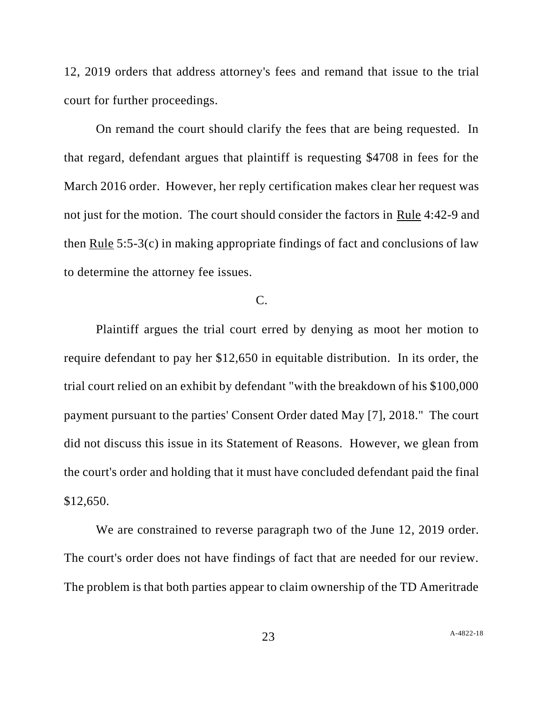12, 2019 orders that address attorney's fees and remand that issue to the trial court for further proceedings.

On remand the court should clarify the fees that are being requested. In that regard, defendant argues that plaintiff is requesting \$4708 in fees for the March 2016 order. However, her reply certification makes clear her request was not just for the motion. The court should consider the factors in Rule 4:42-9 and then Rule 5:5-3(c) in making appropriate findings of fact and conclusions of law to determine the attorney fee issues.

## C.

Plaintiff argues the trial court erred by denying as moot her motion to require defendant to pay her \$12,650 in equitable distribution. In its order, the trial court relied on an exhibit by defendant "with the breakdown of his \$100,000 payment pursuant to the parties' Consent Order dated May [7], 2018." The court did not discuss this issue in its Statement of Reasons. However, we glean from the court's order and holding that it must have concluded defendant paid the final \$12,650.

We are constrained to reverse paragraph two of the June 12, 2019 order. The court's order does not have findings of fact that are needed for our review. The problem is that both parties appear to claim ownership of the TD Ameritrade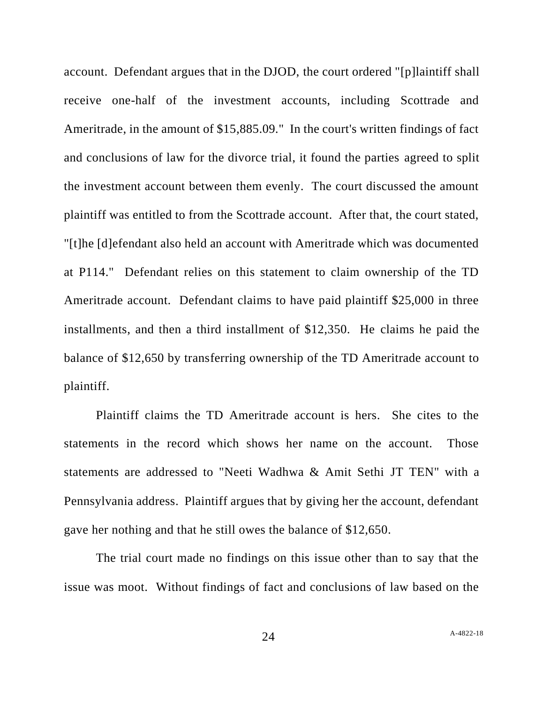account. Defendant argues that in the DJOD, the court ordered "[p]laintiff shall receive one-half of the investment accounts, including Scottrade and Ameritrade, in the amount of \$15,885.09." In the court's written findings of fact and conclusions of law for the divorce trial, it found the parties agreed to split the investment account between them evenly. The court discussed the amount plaintiff was entitled to from the Scottrade account. After that, the court stated, "[t]he [d]efendant also held an account with Ameritrade which was documented at P114." Defendant relies on this statement to claim ownership of the TD Ameritrade account. Defendant claims to have paid plaintiff \$25,000 in three installments, and then a third installment of \$12,350. He claims he paid the balance of \$12,650 by transferring ownership of the TD Ameritrade account to plaintiff.

Plaintiff claims the TD Ameritrade account is hers. She cites to the statements in the record which shows her name on the account. Those statements are addressed to "Neeti Wadhwa & Amit Sethi JT TEN" with a Pennsylvania address. Plaintiff argues that by giving her the account, defendant gave her nothing and that he still owes the balance of \$12,650.

The trial court made no findings on this issue other than to say that the issue was moot. Without findings of fact and conclusions of law based on the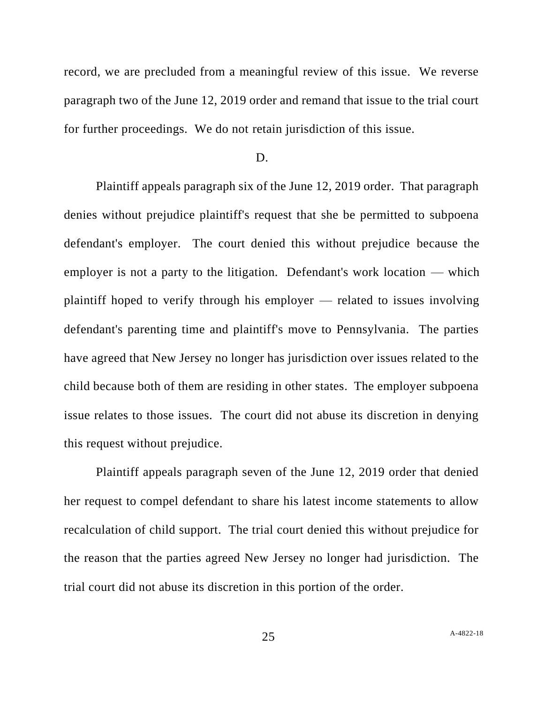record, we are precluded from a meaningful review of this issue. We reverse paragraph two of the June 12, 2019 order and remand that issue to the trial court for further proceedings. We do not retain jurisdiction of this issue.

#### D.

Plaintiff appeals paragraph six of the June 12, 2019 order. That paragraph denies without prejudice plaintiff's request that she be permitted to subpoena defendant's employer. The court denied this without prejudice because the employer is not a party to the litigation. Defendant's work location — which plaintiff hoped to verify through his employer — related to issues involving defendant's parenting time and plaintiff's move to Pennsylvania. The parties have agreed that New Jersey no longer has jurisdiction over issues related to the child because both of them are residing in other states. The employer subpoena issue relates to those issues. The court did not abuse its discretion in denying this request without prejudice.

Plaintiff appeals paragraph seven of the June 12, 2019 order that denied her request to compel defendant to share his latest income statements to allow recalculation of child support. The trial court denied this without prejudice for the reason that the parties agreed New Jersey no longer had jurisdiction. The trial court did not abuse its discretion in this portion of the order.